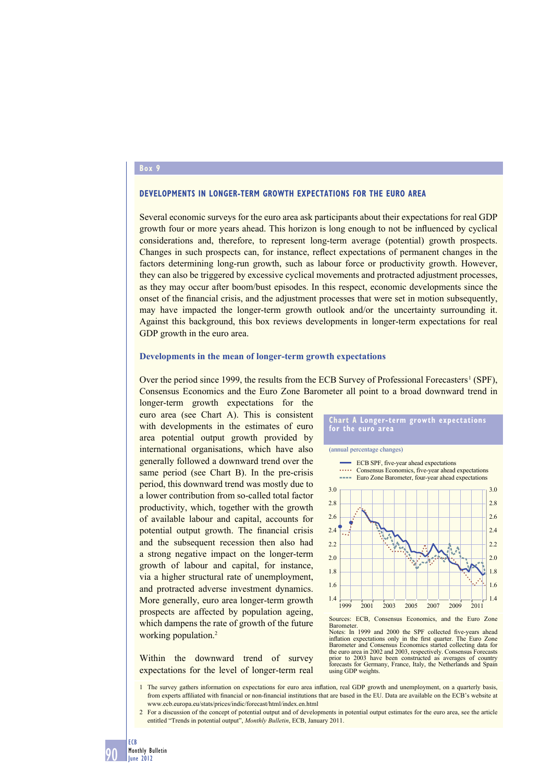#### **Box 9**

### **DEVELOPMENTS IN LONGER-TERM GROWTH EXPECTATIONS FOR THE EURO AREA**

Several economic surveys for the euro area ask participants about their expectations for real GDP growth four or more years ahead. This horizon is long enough to not be influenced by cyclical considerations and, therefore, to represent long-term average (potential) growth prospects. Changes in such prospects can, for instance, reflect expectations of permanent changes in the factors determining long-run growth, such as labour force or productivity growth. However, they can also be triggered by excessive cyclical movements and protracted adjustment processes, as they may occur after boom/bust episodes. In this respect, economic developments since the onset of the financial crisis, and the adjustment processes that were set in motion subsequently, may have impacted the longer-term growth outlook and/or the uncertainty surrounding it. Against this background, this box reviews developments in longer-term expectations for real GDP growth in the euro area.

#### **Developments in the mean of longer-term growth expectations**

Over the period since 1999, the results from the ECB Survey of Professional Forecasters<sup>1</sup> (SPF), Consensus Economics and the Euro Zone Barometer all point to a broad downward trend in

longer-term growth expectations for the euro area (see Chart A). This is consistent with developments in the estimates of euro area potential output growth provided by international organisations, which have also generally followed a downward trend over the same period (see Chart B). In the pre-crisis period, this downward trend was mostly due to a lower contribution from so-called total factor productivity, which, together with the growth of available labour and capital, accounts for potential output growth. The financial crisis and the subsequent recession then also had a strong negative impact on the longer-term growth of labour and capital, for instance, via a higher structural rate of unemployment, and protracted adverse investment dynamics. More generally, euro area longer-term growth prospects are affected by population ageing, which dampens the rate of growth of the future working population.<sup>2</sup>

Within the downward trend of survey expectations for the level of longer-term real



Notes: In 1999 and 2000 the SPF collected five-years ahead inflation expectations only in the first quarter. The Euro Zone Barometer and Consensus Economics started collecting data for the euro area in 2002 and 2003, respectively. Consensus Forecasts prior to 2003 have been constructed as averages of country forecasts for Germany, France, Italy, the Netherlands and Spain using GDP weights.

1 The survey gathers information on expectations for euro area inflation, real GDP growth and unemployment, on a quarterly basis, from experts affiliated with financial or non-financial institutions that are based in the EU. Data are available on the ECB's website at www.ecb.europa.eu/stats/prices/indic/forecast/html/index.en.html

2 For a discussion of the concept of potential output and of developments in potential output estimates for the euro area, see the article entitled "Trends in potential output", *Monthly Bulletin*, ECB, January 2011.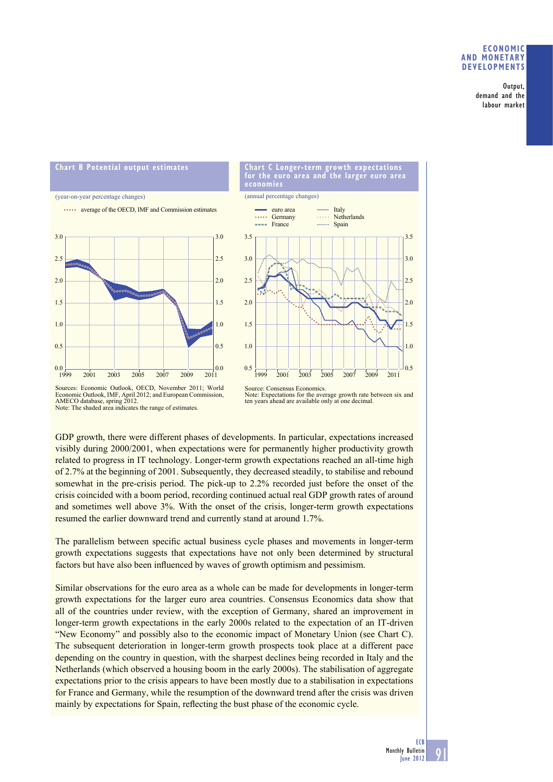# **ECONOMIC AND MONETARY DEVELOPMENTS**

Output, demand and the labour market





Sources: Economic Outlook, OECD, November 2011; World Economic Outlook, IMF, April 2012; and European Commission, AMECO database, spring 2012. Note: The shaded area indicates the range of estimates.

Note: Expectations for the average growth rate between six and ten years ahead are available only at one decimal.

GDP growth, there were different phases of developments. In particular, expectations increased visibly during 2000/2001, when expectations were for permanently higher productivity growth related to progress in IT technology. Longer-term growth expectations reached an all-time high of 2.7% at the beginning of 2001. Subsequently, they decreased steadily, to stabilise and rebound somewhat in the pre-crisis period. The pick-up to 2.2% recorded just before the onset of the crisis coincided with a boom period, recording continued actual real GDP growth rates of around and sometimes well above 3%. With the onset of the crisis, longer-term growth expectations resumed the earlier downward trend and currently stand at around 1.7%.

The parallelism between specific actual business cycle phases and movements in longer-term growth expectations suggests that expectations have not only been determined by structural factors but have also been influenced by waves of growth optimism and pessimism.

Similar observations for the euro area as a whole can be made for developments in longer-term growth expectations for the larger euro area countries. Consensus Economics data show that all of the countries under review, with the exception of Germany, shared an improvement in longer-term growth expectations in the early 2000s related to the expectation of an IT-driven "New Economy" and possibly also to the economic impact of Monetary Union (see Chart C). The subsequent deterioration in longer-term growth prospects took place at a different pace depending on the country in question, with the sharpest declines being recorded in Italy and the Netherlands (which observed a housing boom in the early 2000s). The stabilisation of aggregate expectations prior to the crisis appears to have been mostly due to a stabilisation in expectations for France and Germany, while the resumption of the downward trend after the crisis was driven mainly by expectations for Spain, reflecting the bust phase of the economic cycle.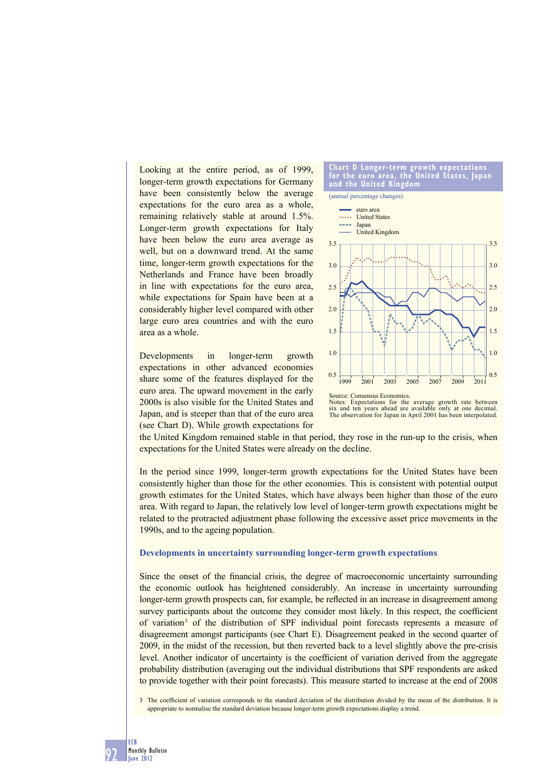Looking at the entire period, as of 1999, longer-term growth expectations for Germany have been consistently below the average expectations for the euro area as a whole, remaining relatively stable at around 1.5%. Longer-term growth expectations for Italy have been below the euro area average as well, but on a downward trend. At the same time, longer-term growth expectations for the Netherlands and France have been broadly in line with expectations for the euro area, while expectations for Spain have been at a considerably higher level compared with other large euro area countries and with the euro area as a whole.

Developments in longer-term growth expectations in other advanced economies share some of the features displayed for the euro area. The upward movement in the early 2000s is also visible for the United States and Japan, and is steeper than that of the euro area (see Chart D). While growth expectations for



Notes: Expectations for the average growth rate between six and ten years ahead are available only at one decimal. The observation for Japan in April 2001 has been interpolated.

the United Kingdom remained stable in that period, they rose in the run-up to the crisis, when expectations for the United States were already on the decline.

In the period since 1999, longer-term growth expectations for the United States have been consistently higher than those for the other economies. This is consistent with potential output growth estimates for the United States, which have always been higher than those of the euro area. With regard to Japan, the relatively low level of longer-term growth expectations might be related to the protracted adjustment phase following the excessive asset price movements in the 1990s, and to the ageing population.

### **Developments in uncertainty surrounding longer-term growth expectations**

Since the onset of the financial crisis, the degree of macroeconomic uncertainty surrounding the economic outlook has heightened considerably. An increase in uncertainty surrounding longer-term growth prospects can, for example, be reflected in an increase in disagreement among survey participants about the outcome they consider most likely. In this respect, the coefficient of variation 3 of the distribution of SPF individual point forecasts represents a measure of disagreement amongst participants (see Chart E). Disagreement peaked in the second quarter of 2009, in the midst of the recession, but then reverted back to a level slightly above the pre-crisis level. Another indicator of uncertainty is the coefficient of variation derived from the aggregate probability distribution (averaging out the individual distributions that SPF respondents are asked to provide together with their point forecasts). This measure started to increase at the end of 2008

3 The coefficient of variation corresponds to the standard deviation of the distribution divided by the mean of the distribution. It is appropriate to normalise the standard deviation because longer-term growth expectations display a trend.